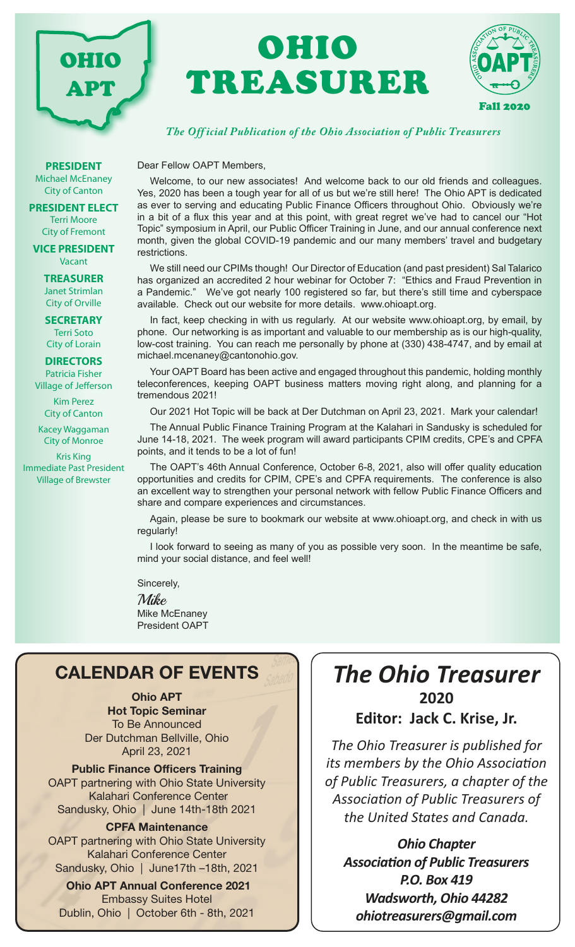

# OHIO TREASURER



#### *The Off icial Publication of the Ohio Association of Public Treasurers*

**PRESIDENT** Michael McEnaney City of Canton

**PRESIDENT ELECT** Terri Moore City of Fremont

**VICE PRESIDENT** Vacant

> **TREASURER** Janet Strimlan City of Orville

**SECRETARY** Terri Soto

City of Lorain

**DIRECTORS**

Patricia Fisher Village of Jefferson

> Kim Perez City of Canton

Kacey Waggaman City of Monroe

Kris King Immediate Past President Village of Brewster

Dear Fellow OAPT Members,

Welcome, to our new associates! And welcome back to our old friends and colleagues. Yes, 2020 has been a tough year for all of us but we're still here! The Ohio APT is dedicated as ever to serving and educating Public Finance Officers throughout Ohio. Obviously we're in a bit of a flux this year and at this point, with great regret we've had to cancel our "Hot Topic" symposium in April, our Public Officer Training in June, and our annual conference next month, given the global COVID-19 pandemic and our many members' travel and budgetary **restrictions** 

We still need our CPIMs though! Our Director of Education (and past president) Sal Talarico has organized an accredited 2 hour webinar for October 7: "Ethics and Fraud Prevention in a Pandemic." We've got nearly 100 registered so far, but there's still time and cyberspace available. Check out our website for more details. www.ohioapt.org.

In fact, keep checking in with us regularly. At our website www.ohioapt.org, by email, by phone. Our networking is as important and valuable to our membership as is our high-quality, low-cost training. You can reach me personally by phone at (330) 438-4747, and by email at michael.mcenaney@cantonohio.gov.

Your OAPT Board has been active and engaged throughout this pandemic, holding monthly teleconferences, keeping OAPT business matters moving right along, and planning for a tremendous 2021!

Our 2021 Hot Topic will be back at Der Dutchman on April 23, 2021. Mark your calendar!

The Annual Public Finance Training Program at the Kalahari in Sandusky is scheduled for June 14-18, 2021. The week program will award participants CPIM credits, CPE's and CPFA points, and it tends to be a lot of fun!

The OAPT's 46th Annual Conference, October 6-8, 2021, also will offer quality education opportunities and credits for CPIM, CPE's and CPFA requirements. The conference is also an excellent way to strengthen your personal network with fellow Public Finance Officers and share and compare experiences and circumstances.

Again, please be sure to bookmark our website at www.ohioapt.org, and check in with us regularly!

I look forward to seeing as many of you as possible very soon. In the meantime be safe, mind your social distance, and feel well!

Sincerely,

Mike Mike McEnaney President OAPT

## CALENDAR OF EVENTS

Ohio APT Hot Topic Seminar To Be Announced Der Dutchman Bellville, Ohio April 23, 2021

Public Finance Officers Training OAPT partnering with Ohio State University Kalahari Conference Center Sandusky, Ohio | June 14th-18th 2021

CPFA Maintenance OAPT partnering with Ohio State University Kalahari Conference Center Sandusky, Ohio | June17th –18th, 2021

Ohio APT Annual Conference 2021 Embassy Suites Hotel Dublin, Ohio | October 6th - 8th, 2021

# *The Ohio Treasurer* **2020**

**Editor: Jack C. Krise, Jr.**

*The Ohio Treasurer is published for its members by the Ohio Association of Public Treasurers, a chapter of the Association of Public Treasurers of the United States and Canada.*

*Ohio Chapter Association of Public Treasurers P.O. Box 419 Wadsworth, Ohio 44282 ohiotreasurers@gmail.com*